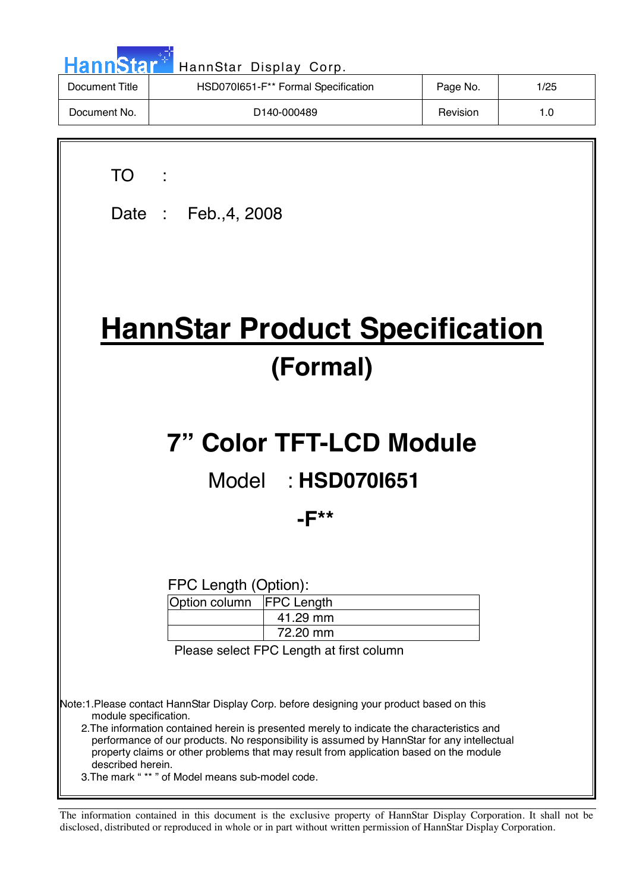| <b>HannStar</b> | HannStar Display Corp.              |          |      |
|-----------------|-------------------------------------|----------|------|
| Document Title  | HSD070I651-F** Formal Specification | Page No. | 1/25 |
| Document No.    | D <sub>140</sub> -000489            | Revision | 1.0  |
|                 |                                     |          |      |
|                 |                                     |          |      |

| TO T                                                                                                                                                                                                                                                                                                                                                                                                                                                                              |
|-----------------------------------------------------------------------------------------------------------------------------------------------------------------------------------------------------------------------------------------------------------------------------------------------------------------------------------------------------------------------------------------------------------------------------------------------------------------------------------|
| Date: Feb., 4, 2008                                                                                                                                                                                                                                                                                                                                                                                                                                                               |
|                                                                                                                                                                                                                                                                                                                                                                                                                                                                                   |
|                                                                                                                                                                                                                                                                                                                                                                                                                                                                                   |
| <b>HannStar Product Specification</b>                                                                                                                                                                                                                                                                                                                                                                                                                                             |
| (Formal)                                                                                                                                                                                                                                                                                                                                                                                                                                                                          |
|                                                                                                                                                                                                                                                                                                                                                                                                                                                                                   |
| <b>7" Color TFT-LCD Module</b>                                                                                                                                                                                                                                                                                                                                                                                                                                                    |
| Model: HSD0701651                                                                                                                                                                                                                                                                                                                                                                                                                                                                 |
| -F**                                                                                                                                                                                                                                                                                                                                                                                                                                                                              |
|                                                                                                                                                                                                                                                                                                                                                                                                                                                                                   |
| FPC Length (Option):                                                                                                                                                                                                                                                                                                                                                                                                                                                              |
| Option column   FPC Length<br>41.29 mm<br>72.20 mm                                                                                                                                                                                                                                                                                                                                                                                                                                |
| Please select FPC Length at first column                                                                                                                                                                                                                                                                                                                                                                                                                                          |
|                                                                                                                                                                                                                                                                                                                                                                                                                                                                                   |
| Note:1.Please contact HannStar Display Corp. before designing your product based on this<br>module specification.<br>2. The information contained herein is presented merely to indicate the characteristics and<br>performance of our products. No responsibility is assumed by HannStar for any intellectual<br>property claims or other problems that may result from application based on the module<br>described herein.<br>3. The mark "** " of Model means sub-model code. |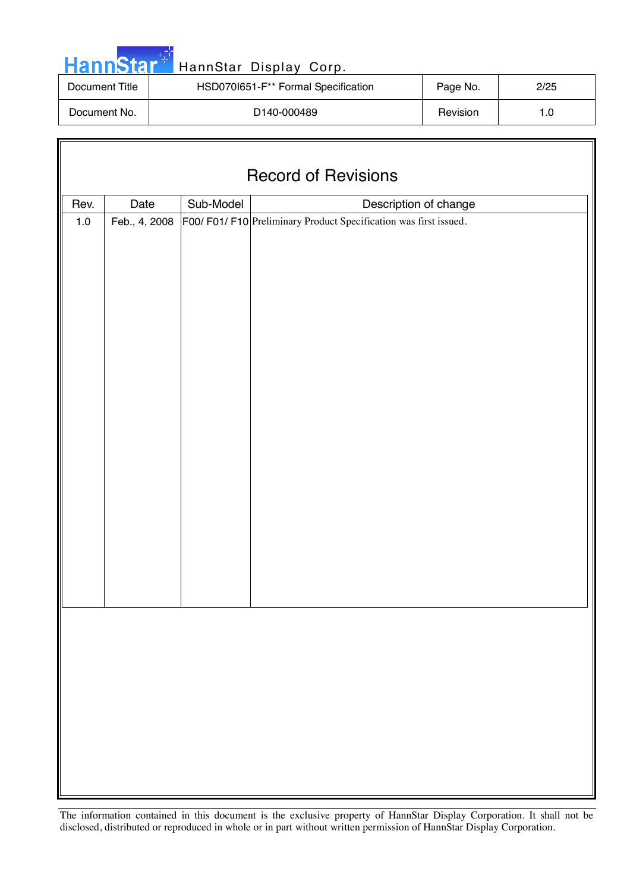| <b>HannStar</b> | HannStar Display Corp.              |          |      |
|-----------------|-------------------------------------|----------|------|
| Document Title  | HSD070I651-F** Formal Specification | Page No. | 2/25 |
| Document No.    | D <sub>140</sub> -000489            | Revision | 1.0  |

| <b>Record of Revisions</b> |                                            |  |                                                                 |  |  |  |
|----------------------------|--------------------------------------------|--|-----------------------------------------------------------------|--|--|--|
| Rev.                       | Sub-Model<br>Date<br>Description of change |  |                                                                 |  |  |  |
| $1.0\,$                    | Feb., 4, 2008                              |  | F00/F01/F10 Preliminary Product Specification was first issued. |  |  |  |
|                            |                                            |  |                                                                 |  |  |  |
|                            |                                            |  |                                                                 |  |  |  |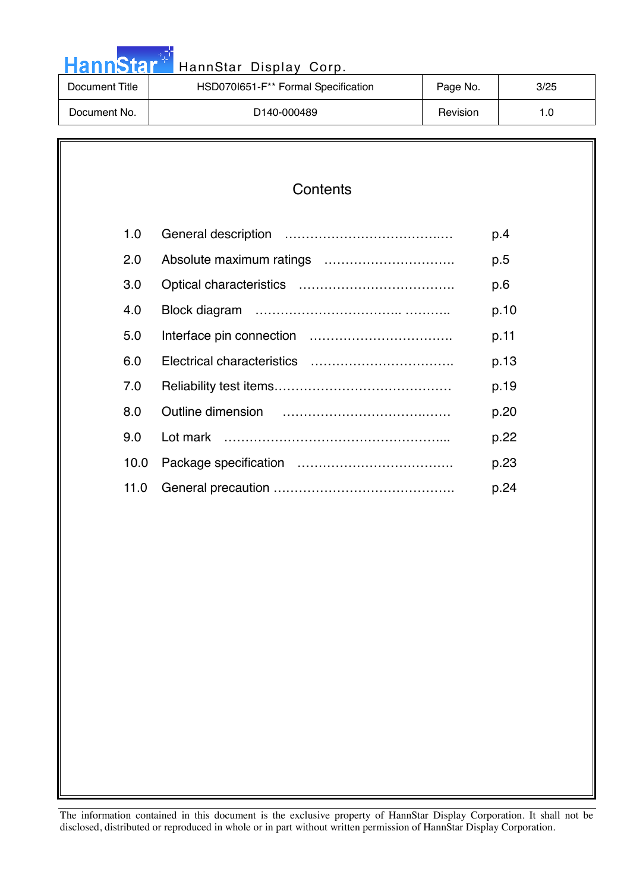| <b>HannStar</b> | HannStar Display Corp.              |          |      |
|-----------------|-------------------------------------|----------|------|
| Document Title  | HSD0701651-F** Formal Specification | Page No. | 3/25 |
| Document No.    | D <sub>140</sub> -000489            | Revision | 1.0  |

والمرادي

| Contents |
|----------|
|----------|

| 1.0  | p.4  |
|------|------|
| 2.0  | p.5  |
| 3.0  | p.6  |
| 4.0  | p.10 |
| 5.0  | p.11 |
| 6.0  | p.13 |
| 7.0  | p.19 |
| 8.0  | p.20 |
| 9.0  | p.22 |
| 10.0 | p.23 |
| 11.0 | p.24 |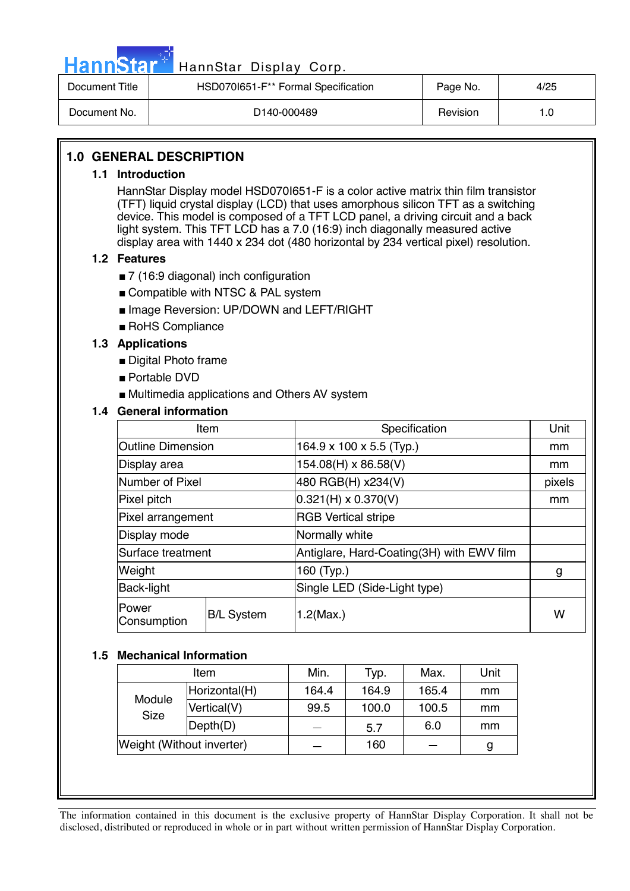

# Hann Star<sup>#</sup> HannStar Display Corp.

| Document Title | HSD070I651-F <sup>**</sup> Formal Specification | Page No. | 4/25 |
|----------------|-------------------------------------------------|----------|------|
| Document No.   | D <sub>140</sub> -000489                        | Revision |      |

#### **1.0 GENERAL DESCRIPTION**

#### **1.1 Introduction**

HannStar Display model HSD070I651-F is a color active matrix thin film transistor (TFT) liquid crystal display (LCD) that uses amorphous silicon TFT as a switching device. This model is composed of a TFT LCD panel, a driving circuit and a back light system. This TFT LCD has a 7.0 (16:9) inch diagonally measured active display area with 1440 x 234 dot (480 horizontal by 234 vertical pixel) resolution.

#### **1.2 Features**

- 7 (16:9 diagonal) inch configuration
- Compatible with NTSC & PAL system
- Image Reversion: UP/DOWN and LEFT/RIGHT
- RoHS Compliance

#### **1.3 Applications**

- Digital Photo frame
- Portable DVD
- Multimedia applications and Others AV system

#### **1.4 General information**

| Item                     |                   | Specification                             | Unit   |  |
|--------------------------|-------------------|-------------------------------------------|--------|--|
| <b>Outline Dimension</b> |                   | 164.9 x 100 x 5.5 (Typ.)                  | mm     |  |
| Display area             |                   | 154.08(H) x 86.58(V)                      | mm     |  |
| Number of Pixel          |                   | 480 RGB(H) x234(V)                        | pixels |  |
| Pixel pitch              |                   | $0.321(H) \times 0.370(V)$                | mm     |  |
| Pixel arrangement        |                   | <b>RGB</b> Vertical stripe                |        |  |
| Display mode             |                   | Normally white                            |        |  |
| Surface treatment        |                   | Antiglare, Hard-Coating(3H) with EWV film |        |  |
| Weight                   |                   | 160 (Typ.)                                | g      |  |
| <b>Back-light</b>        |                   | Single LED (Side-Light type)              |        |  |
| Power<br>Consumption     | <b>B/L System</b> | $1.2$ (Max.)                              |        |  |

#### **1.5 Mechanical Information**

| Item                      |               | Min.  | Typ.  | Max.  | Unit |
|---------------------------|---------------|-------|-------|-------|------|
| Module<br><b>Size</b>     | Horizontal(H) | 164.4 | 164.9 | 165.4 | mm   |
|                           | Vertical(V)   | 99.5  | 100.0 | 100.5 | mm   |
|                           | Depth(D)      |       | 5.7   | 6.0   | mm   |
| Weight (Without inverter) |               |       | 160   |       | g    |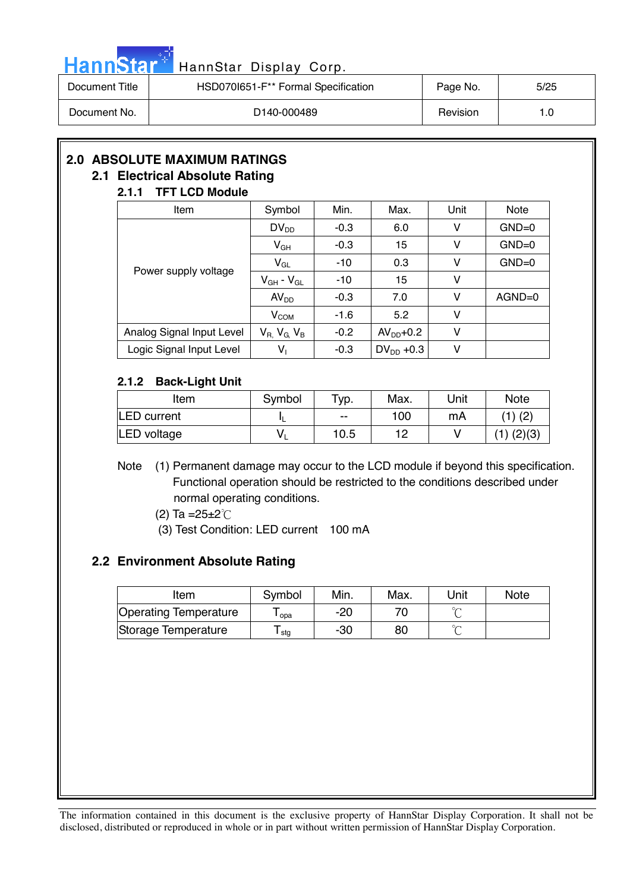|  |  | HannStar <sup>*</sup> |  |
|--|--|-----------------------|--|
|  |  |                       |  |
|  |  |                       |  |

### HannStar Display Corp.

| Document Title | HSD070I651-F** Formal Specification | Page No. | 5/25 |
|----------------|-------------------------------------|----------|------|
| Document No.   | D <sub>140</sub> -000489            | Revision | 1.0  |

## **2.0 ABSOLUTE MAXIMUM RATINGS**

#### **2.1 Electrical Absolute Rating 2.1.1 TFT LCD Module**

| <i><u><b>L.I.I</b></u></i><br>II I LVD MUUUIG |                       |        |                |      |             |
|-----------------------------------------------|-----------------------|--------|----------------|------|-------------|
| Item                                          | Symbol                | Min.   | Max.           | Unit | <b>Note</b> |
|                                               | $DV_{DD}$             | $-0.3$ | 6.0            | v    | $GND=0$     |
|                                               | $V_{GH}$              | $-0.3$ | 15             | v    | $GND=0$     |
|                                               | $V_{GL}$              | $-10$  | 0.3            | v    | $GND=0$     |
| Power supply voltage                          | $V_{GH}$ - $V_{GL}$   | $-10$  | 15             | v    |             |
|                                               | AV <sub>DD</sub>      | $-0.3$ | 7.0            | v    | $AGND=0$    |
|                                               | V <sub>COM</sub>      | $-1.6$ | 5.2            | v    |             |
| Analog Signal Input Level                     | $V_R$ , $V_G$ , $V_B$ | $-0.2$ | $AVDD+0.2$     | v    |             |
| Logic Signal Input Level                      | $V_1$                 | $-0.3$ | $DV_{DD}$ +0.3 | v    |             |

#### **2.1.2 Back-Light Unit**

| Item               | Symbol | $\tau_{\text{VP}}$ . | Max. | Unit | <b>Note</b> |
|--------------------|--------|----------------------|------|------|-------------|
| <b>LED</b> current |        | $-$                  | 100  | mA   | $(1)$ (2)   |
| LED voltage        |        | 10.5                 | 1 ר  |      | (2)(3)      |

Note (1) Permanent damage may occur to the LCD module if beyond this specification. Functional operation should be restricted to the conditions described under normal operating conditions.

- (2) Ta = $25 \pm 2^{\circ}$ C
- (3) Test Condition: LED current 100 mA

#### **2.2 Environment Absolute Rating**

| Item                         | Symbol | Min. | Max. | Unit   | Note |
|------------------------------|--------|------|------|--------|------|
| <b>Operating Temperature</b> | opa    | -20  |      | $\sim$ |      |
| Storage Temperature          | l stg  | -30  | 80   | $\sim$ |      |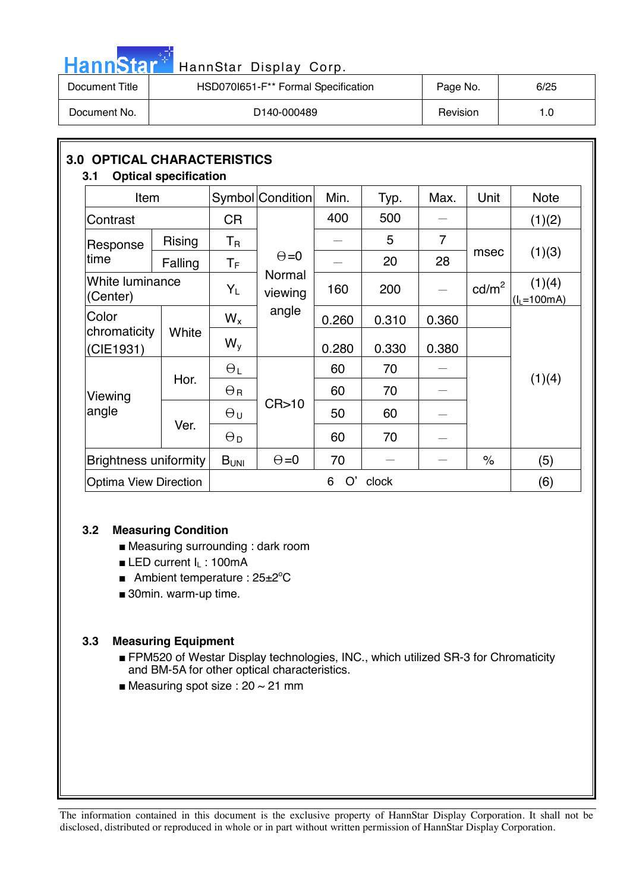| HannStar <sup>+</sup> | HannStar Display Corp.              |          |      |
|-----------------------|-------------------------------------|----------|------|
| Document Title        | HSD070I651-F** Formal Specification | Page No. | 6/25 |
| Document No.          | D <sub>140</sub> -000489            | Revision | 1.0  |

| <b>3.0 OPTICAL CHARACTERISTICS</b><br>3.1 | <b>Optical specification</b> |                         |                   |         |       |                          |                   |                        |
|-------------------------------------------|------------------------------|-------------------------|-------------------|---------|-------|--------------------------|-------------------|------------------------|
| Item                                      |                              |                         | Symbol Condition  | Min.    | Typ.  | Max.                     | Unit              | <b>Note</b>            |
| Contrast                                  |                              | <b>CR</b>               |                   | 400     | 500   |                          |                   | (1)(2)                 |
| Response                                  | Rising                       | $T_{\mathsf{R}}$        |                   |         | 5     | $\overline{7}$           |                   |                        |
| time                                      | Falling                      | $\mathsf T_{\mathsf F}$ | $\Theta = 0$      |         | 20    | 28                       | msec              | (1)(3)                 |
| (Center)                                  | White luminance              |                         | Normal<br>viewing | 160     | 200   | $\overline{\phantom{m}}$ | cd/m <sup>2</sup> | (1)(4)<br>$(IL=100mA)$ |
| Color                                     |                              | $W_{x}$                 | angle             | 0.260   | 0.310 | 0.360                    |                   |                        |
| chromaticity<br>(CIE1931)                 | White                        | $W_{V}$                 |                   | 0.280   | 0.330 | 0.380                    |                   |                        |
|                                           | Hor.                         | $\Theta_L$              |                   | 60      | 70    |                          |                   | (1)(4)                 |
| Viewing                                   |                              | $\Theta_{\rm R}$        |                   | 60      | 70    |                          |                   |                        |
| angle                                     | Ver.                         | $\Theta$ u              | CR > 10           | 50      | 60    |                          |                   |                        |
|                                           |                              | $\Theta_{\mathsf{D}}$   |                   | 60      | 70    |                          |                   |                        |
| <b>Brightness uniformity</b>              |                              | B <sub>UNI</sub>        | $\Theta = 0$      | 70      |       |                          | $\%$              | (5)                    |
| <b>Optima View Direction</b>              |                              |                         |                   | O'<br>6 | clock |                          |                   | (6)                    |

#### **3.2 Measuring Condition**

m.

- Measuring surrounding : dark room
- LED current I<sub>L</sub>: 100mA
- Ambient temperature : 25±2°C
- 30min. warm-up time.

#### **3.3 Measuring Equipment**

- FPM520 of Westar Display technologies, INC., which utilized SR-3 for Chromaticity and BM-5A for other optical characteristics.
- Measuring spot size :  $20 \sim 21$  mm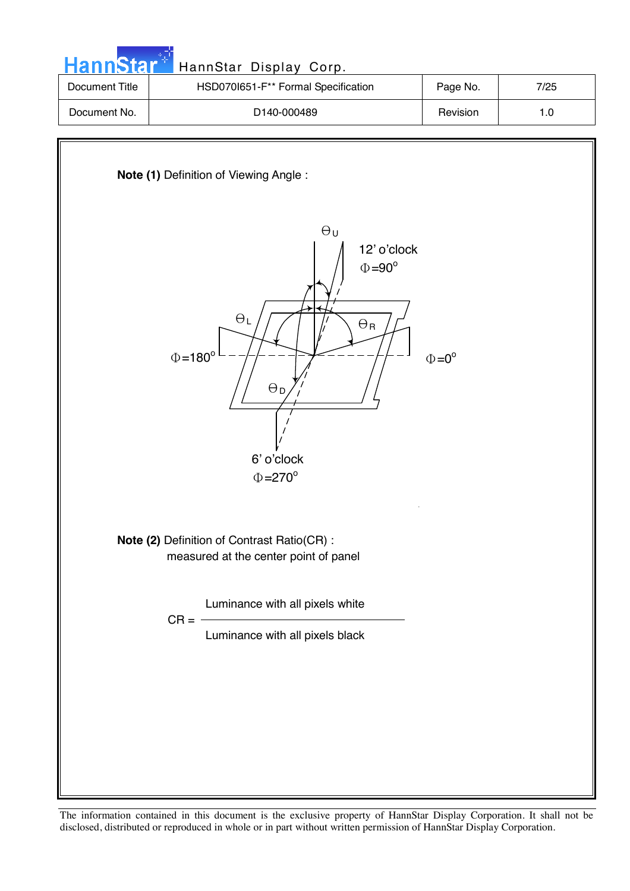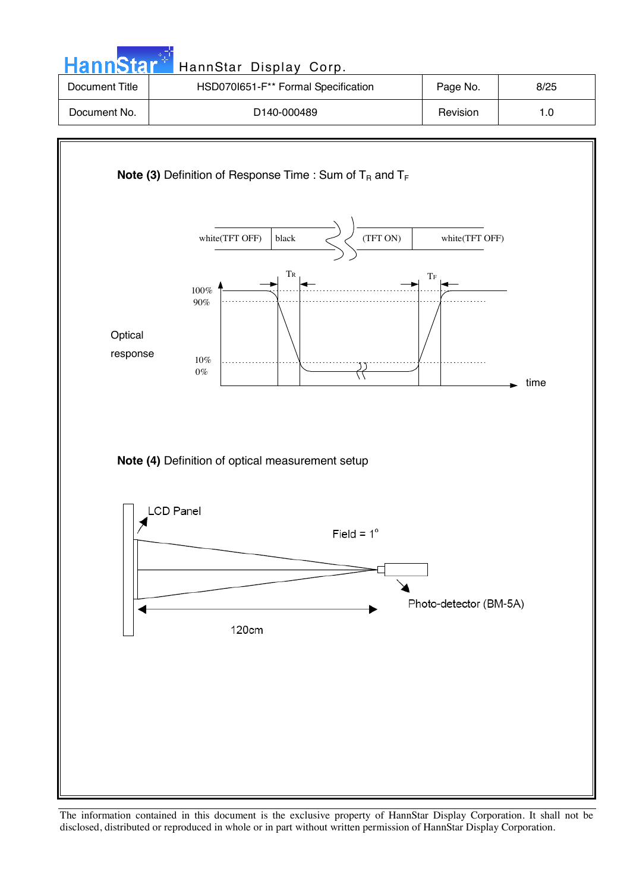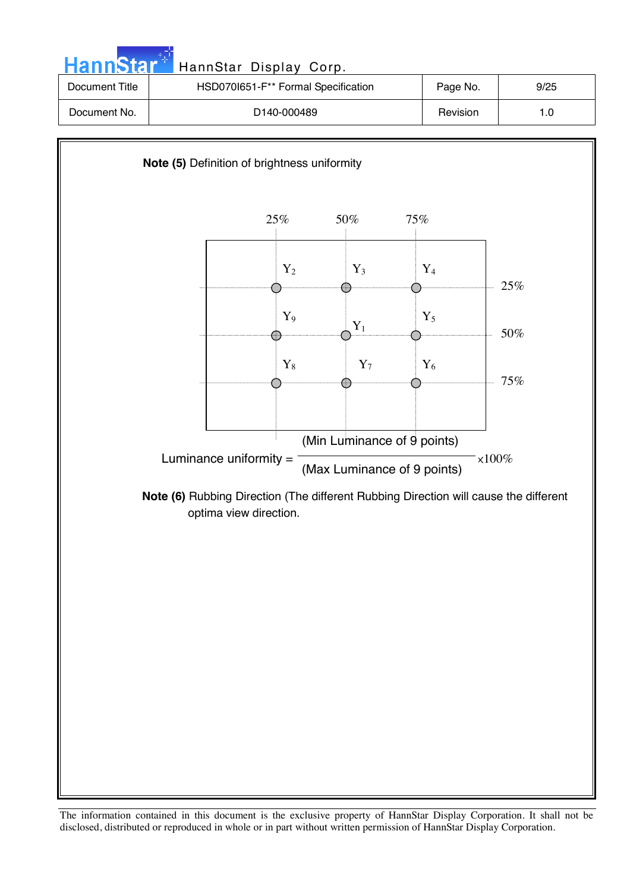

The information contained in this document is the exclusive property of HannStar Display Corporation. It shall not be disclosed, distributed or reproduced in whole or in part without written permission of HannStar Display Corporation.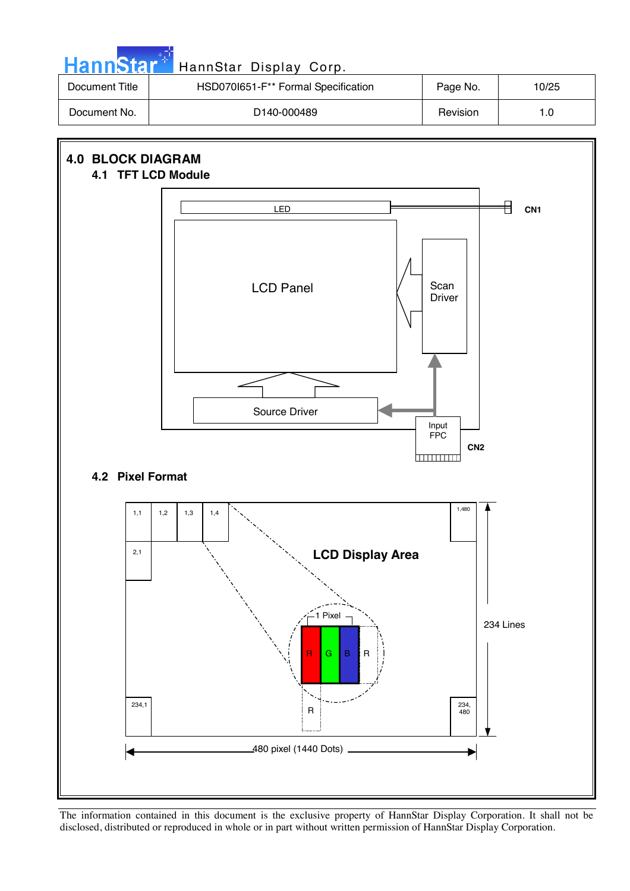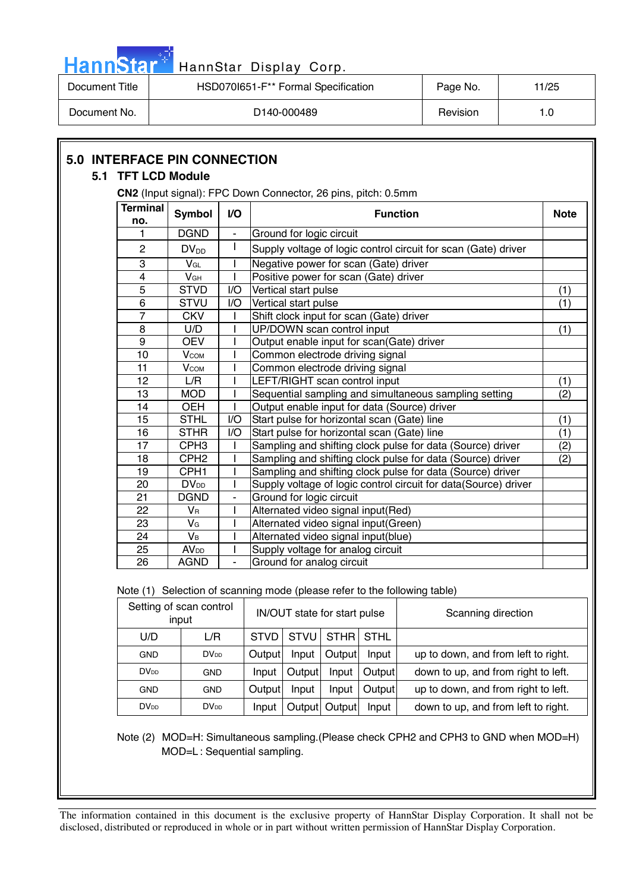| HannStar <sup>47</sup> |                        |                                     |                                     | HannStar Display Corp.                                         |             |     |  |
|------------------------|------------------------|-------------------------------------|-------------------------------------|----------------------------------------------------------------|-------------|-----|--|
| Document Title         |                        |                                     | HSD070I651-F** Formal Specification | Page No.                                                       | 11/25       |     |  |
| Document No.           |                        |                                     |                                     | D <sub>140</sub> -000489                                       | 1.0         |     |  |
|                        |                        |                                     |                                     |                                                                |             |     |  |
| 5.1                    | <b>TFT LCD Module</b>  | <b>5.0 INTERFACE PIN CONNECTION</b> |                                     | CN2 (Input signal): FPC Down Connector, 26 pins, pitch: 0.5mm  |             |     |  |
|                        | <b>Terminal</b><br>no. | <b>Symbol</b>                       | V <sub>O</sub>                      | <b>Function</b>                                                | <b>Note</b> |     |  |
|                        |                        | <b>DGND</b>                         | $\blacksquare$                      | Ground for logic circuit                                       |             |     |  |
|                        | 2                      | $DV_{DD}$                           |                                     | Supply voltage of logic control circuit for scan (Gate) driver |             |     |  |
|                        | 3                      | $V_{GL}$                            |                                     | Negative power for scan (Gate) driver                          |             |     |  |
|                        | $\overline{4}$         | <b>V<sub>GH</sub></b>               |                                     | Positive power for scan (Gate) driver                          |             |     |  |
|                        | 5                      | <b>STVD</b>                         | I/O                                 | Vertical start pulse                                           |             | (1) |  |
|                        | 6                      | <b>STVU</b>                         | I/O                                 | Vertical start pulse                                           |             | (1) |  |
|                        | 7                      | <b>CKV</b>                          |                                     | Shift clock input for scan (Gate) driver                       |             |     |  |
|                        | 8                      | U/D                                 |                                     | UP/DOWN scan control input                                     |             | (1) |  |
|                        | 9                      | <b>OEV</b>                          |                                     | Output enable input for scan(Gate) driver                      |             |     |  |
|                        | 10                     | <b>V</b> сом                        |                                     | Common electrode driving signal                                |             |     |  |
|                        | 11                     | <b>V</b> сом                        |                                     | Common electrode driving signal                                |             |     |  |
|                        | 12                     | L/R                                 |                                     | LEFT/RIGHT scan control input                                  |             | (1) |  |
|                        | 13                     | MOD                                 |                                     | Sequential sampling and simultaneous sampling setting          |             | (2) |  |

Note (1) Selection of scanning mode (please refer to the following table)

21 | DGND | - | Ground for logic circuit

22 VR | I Alternated video signal input(Red)  $23$  V<sub>G</sub> | I Alternated video signal input(Green)  $24$  | V<sub>B</sub> | I  $\vert$  Alternated video signal input(blue) 25 AV<sub>DD</sub> I Supply voltage for analog circuit<br>26 AGND - Ground for analog circuit 26 AGND - Ground for analog circuit

14 | OEH | | | | Output enable input for data (Source) driver

|                         | Setting of scan control<br>input | IN/OUT state for start pulse |        |                | Scanning direction |                                     |
|-------------------------|----------------------------------|------------------------------|--------|----------------|--------------------|-------------------------------------|
| U/D                     | L/R                              | <b>STVD</b>                  |        | STVU STHR STHL |                    |                                     |
| <b>GND</b>              | DV <sub>DD</sub>                 | Output                       | Input  | Output         | Input              | up to down, and from left to right. |
| <b>DV</b> <sub>DD</sub> | <b>GND</b>                       | Input                        | Output | Input          | Output             | down to up, and from right to left. |
| <b>GND</b>              | <b>GND</b>                       | Output                       | Input  | Input          | Output             | up to down, and from right to left. |
| <b>DV</b> <sub>DD</sub> | DV <sub>DD</sub>                 | Input                        | Output | Output         | Input              | down to up, and from left to right. |

15 | STHL | I/O Start pulse for horizontal scan (Gate) line | (1) 16 STHR | I/O Start pulse for horizontal scan (Gate) line (1) 17 | CPH3 | I Sampling and shifting clock pulse for data (Source) driver | (2) 18 CPH2 | I Sampling and shifting clock pulse for data (Source) driver | (2)

19 | CPH1 | I Sampling and shifting clock pulse for data (Source) driver 20 | DV<sub>DD</sub> | I | Supply voltage of logic control circuit for data(Source) driver

Note (2) MOD=H: Simultaneous sampling.(Please check CPH2 and CPH3 to GND when MOD=H) MOD=L : Sequential sampling.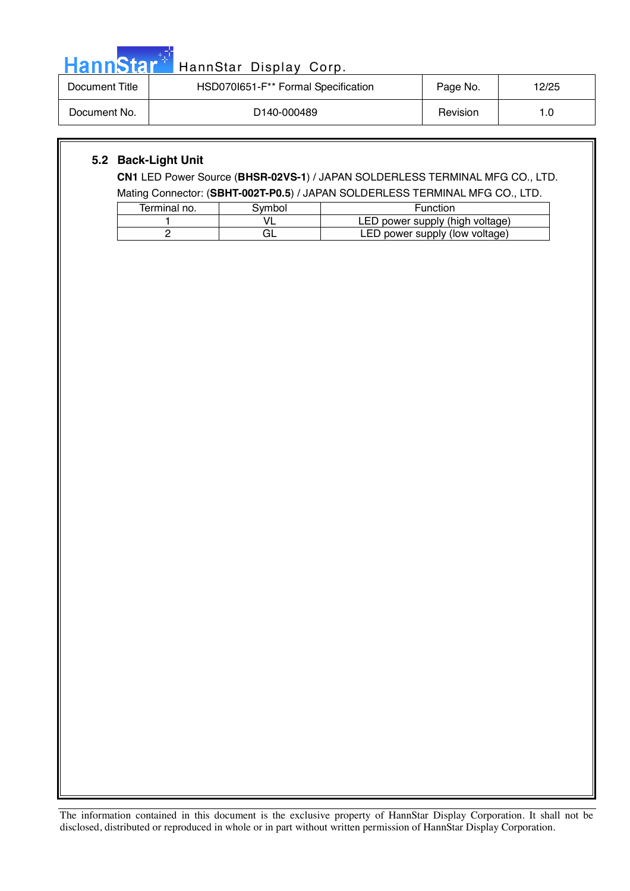| HannStar <sup>+</sup> | HannStar Display Corp.              |          |       |
|-----------------------|-------------------------------------|----------|-------|
| Document Title        | HSD070I651-F** Formal Specification | Page No. | 12/25 |
| Document No.          | D140-000489                         | Revision | 1.0   |

#### **5.2 Back-Light Unit**

**CN1** LED Power Source (**BHSR-02VS-1**) / JAPAN SOLDERLESS TERMINAL MFG CO., LTD. Mating Connector: (**SBHT-002T-P0.5**) / JAPAN SOLDERLESS TERMINAL MFG CO., LTD.

| Terminal no. | Svmbol | <b>Function</b>                 |
|--------------|--------|---------------------------------|
|              |        | LED power supply (high voltage) |
|              |        | LED power supply (low voltage)  |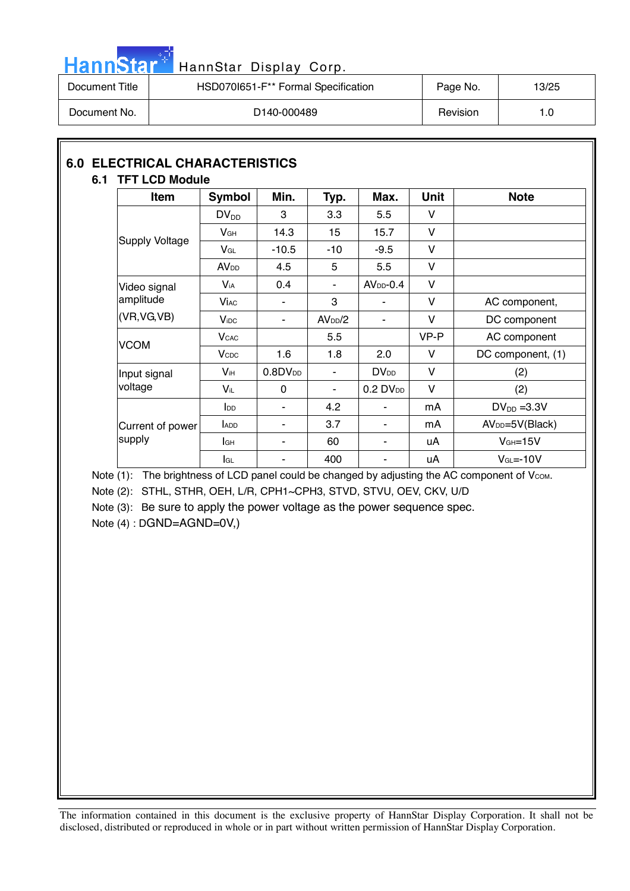

# HannStar<sup>t HannStar</sup> Display Corp.

| Document Title | HSD070I651-F <sup>**</sup> Formal Specification | Page No. | 13/25 |
|----------------|-------------------------------------------------|----------|-------|
| Document No.   | D140-000489                                     | Revision | 1.0   |

#### **6.0 ELECTRICAL CHARACTERISTICS 6.1 TFT LCD Module**

| Item                  | <b>Symbol</b>           | Min.             | Typ.                | Max.                    | <b>Unit</b> | <b>Note</b>                 |
|-----------------------|-------------------------|------------------|---------------------|-------------------------|-------------|-----------------------------|
|                       | $DV_{DD}$               | 3                | 3.3                 | 5.5                     | V           |                             |
|                       | V <sub>GH</sub>         | 14.3             | 15                  | 15.7                    | V           |                             |
| <b>Supply Voltage</b> | $V_{GL}$                | $-10.5$          | $-10$               | $-9.5$                  | V           |                             |
|                       | <b>AV<sub>DD</sub></b>  | 4.5              | 5                   | 5.5                     | $\vee$      |                             |
| Video signal          | $V_{iA}$                | 0.4              | ٠                   | $AVDD-0.4$              | V           |                             |
| amplitude             | <b>Vi</b> ac            |                  | 3                   |                         | V           | AC component,               |
| (VR, VG, VB)          | $V_{\text{IDC}}$        | ٠                | AV <sub>DD</sub> /2 |                         | V           | DC component                |
| <b>VCOM</b>           | <b>V</b> <sub>CAC</sub> |                  | 5.5                 |                         | VP-P        | AC component                |
|                       | <b>V</b> <sub>CDC</sub> | 1.6              | 1.8                 | 2.0                     | V           | DC component, (1)           |
| Input signal          | $V_{iH}$                | $0.8$ D $V_{DD}$ | ٠                   | <b>DV</b> <sub>DD</sub> | V           | (2)                         |
| voltage               | Vil                     | 0                | ٠                   | $0.2$ DV <sub>DD</sub>  | V           | (2)                         |
|                       | $I_{DD}$                | ۰                | 4.2                 |                         | mA          | $DV_{DD} = 3.3V$            |
| Current of power      | <b>ADD</b>              | ۰                | 3.7                 | ۰                       | mA          | AV <sub>DD</sub> =5V(Black) |
| supply                | lсн                     | ۰                | 60                  |                         | uA          | $VGH=15V$                   |
|                       | lgL                     |                  | 400                 | ۰                       | uA          | $VGL=-10V$                  |

Note (1): The brightness of LCD panel could be changed by adjusting the AC component of Vcom.

Note (2): STHL, STHR, OEH, L/R, CPH1~CPH3, STVD, STVU, OEV, CKV, U/D

Note (3): Be sure to apply the power voltage as the power sequence spec.

Note (4) : DGND=AGND=0V,)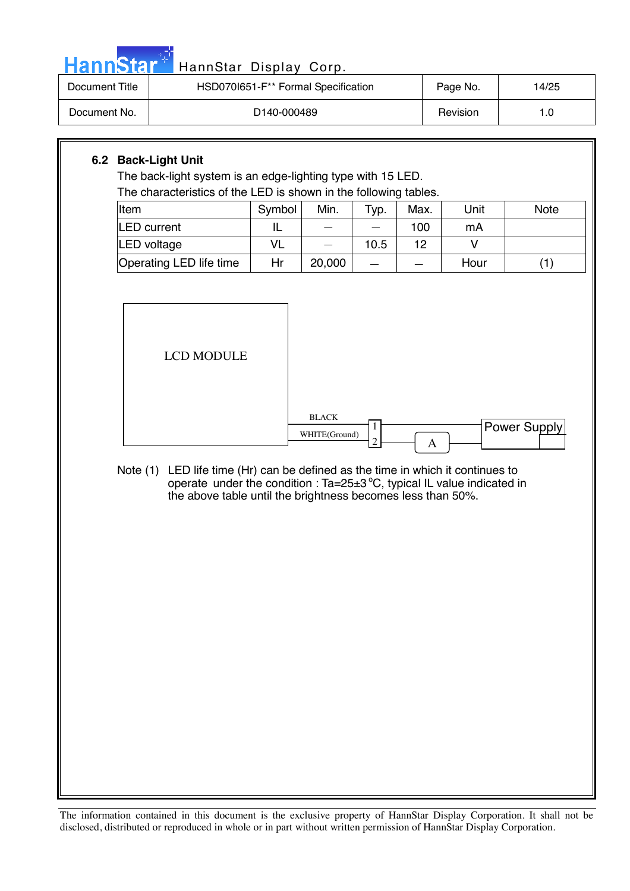| <b>Document Title</b> | <b>HannStar</b><br>HSD070I651-F** Formal Specification                                                                                                                                                                      | HannStar Display Corp. |                               | Page No.                 | 14/25 |        |              |
|-----------------------|-----------------------------------------------------------------------------------------------------------------------------------------------------------------------------------------------------------------------------|------------------------|-------------------------------|--------------------------|-------|--------|--------------|
| Document No.          |                                                                                                                                                                                                                             |                        | Revision                      | 1.0                      |       |        |              |
|                       |                                                                                                                                                                                                                             |                        |                               |                          |       |        |              |
|                       | 6.2 Back-Light Unit                                                                                                                                                                                                         |                        |                               |                          |       |        |              |
|                       | The back-light system is an edge-lighting type with 15 LED.<br>The characteristics of the LED is shown in the following tables.                                                                                             |                        |                               |                          |       |        |              |
| Item                  |                                                                                                                                                                                                                             | Symbol                 | Min.                          | Typ.                     | Max.  | Unit   | <b>Note</b>  |
|                       | <b>LED</b> current                                                                                                                                                                                                          | IL                     |                               |                          | 100   | mA     |              |
|                       | <b>LED voltage</b>                                                                                                                                                                                                          | <b>VL</b>              | $\overline{\phantom{0}}$      | 10.5                     | 12    | $\vee$ |              |
|                       | Operating LED life time                                                                                                                                                                                                     | Hr                     | 20,000                        | $\overline{\phantom{a}}$ |       | Hour   | (1)          |
|                       |                                                                                                                                                                                                                             |                        |                               |                          |       |        |              |
|                       | <b>LCD MODULE</b>                                                                                                                                                                                                           |                        |                               |                          |       |        |              |
|                       |                                                                                                                                                                                                                             |                        | <b>BLACK</b><br>WHITE(Ground) | 1<br>$\overline{c}$      | A     |        | Power Supply |
| Note $(1)$            | LED life time (Hr) can be defined as the time in which it continues to<br>operate under the condition : $Ta=25\pm3\degree C$ , typical IL value indicated in<br>the above table until the brightness becomes less than 50%. |                        |                               |                          |       |        |              |
|                       |                                                                                                                                                                                                                             |                        |                               |                          |       |        |              |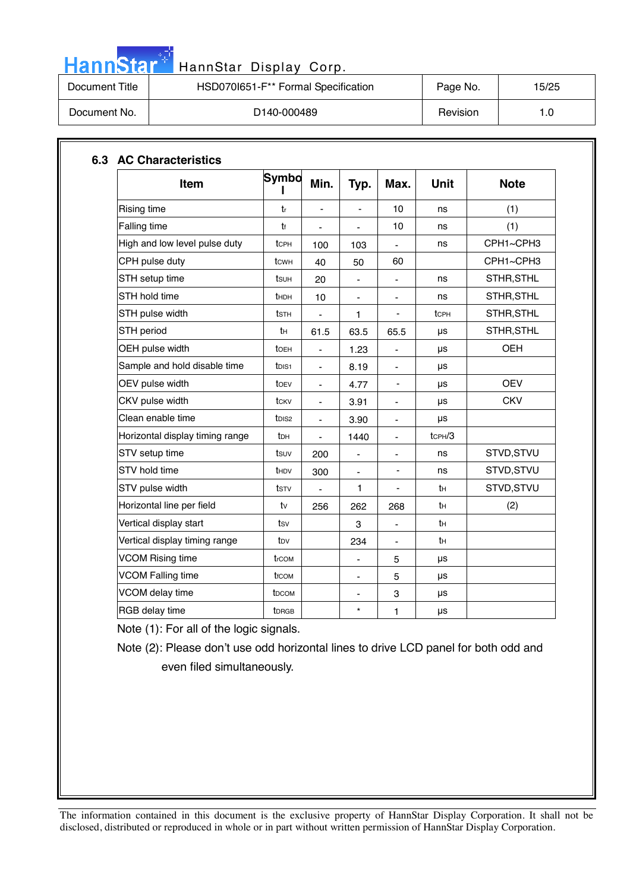# HannStar<sup>d</sup> HannStar Display Corp.

| Document Title | HSD070I651-F** Formal Specification | Page No. | 15/25 |
|----------------|-------------------------------------|----------|-------|
| Document No.   | D140-000489                         | Revision | 1.0   |

| Item                            | Symbo<br>L         | Min.                     | Typ.                         | Max.                     | <b>Unit</b> | <b>Note</b> |
|---------------------------------|--------------------|--------------------------|------------------------------|--------------------------|-------------|-------------|
| <b>Rising time</b>              | tr                 | $\blacksquare$           | $\overline{\phantom{0}}$     | 10                       | ns          | (1)         |
| Falling time                    | tŧ                 | $\overline{\phantom{a}}$ | $\overline{\phantom{0}}$     | 10                       | ns          | (1)         |
| High and low level pulse duty   | tcPH               | 100                      | 103                          |                          | ns          | CPH1~CPH3   |
| CPH pulse duty                  | tcwн               | 40                       | 50                           | 60                       |             | CPH1~CPH3   |
| STH setup time                  | tsuh               | 20                       | $\blacksquare$               | $\overline{\phantom{0}}$ | ns          | STHR, STHL  |
| STH hold time                   | thDH               | 10                       | $\qquad \qquad \blacksquare$ | $\overline{\phantom{0}}$ | ns          | STHR, STHL  |
| STH pulse width                 | tsth               | $\blacksquare$           | 1                            | $\overline{a}$           | tcPH        | STHR, STHL  |
| STH period                      | tн                 | 61.5                     | 63.5                         | 65.5                     | μs          | STHR, STHL  |
| OEH pulse width                 | toEH               | ÷,                       | 1.23                         |                          | μs          | <b>OEH</b>  |
| Sample and hold disable time    | t <sub>DIS1</sub>  | $\blacksquare$           | 8.19                         | $\blacksquare$           | μs          |             |
| OEV pulse width                 | toev               | $\overline{\phantom{a}}$ | 4.77                         | -                        | μs          | <b>OEV</b>  |
| CKV pulse width                 | tcky               |                          | 3.91                         | $\overline{\phantom{0}}$ | μs          | <b>CKV</b>  |
| Clean enable time               | t <sub>DIS2</sub>  | $\overline{\phantom{a}}$ | 3.90                         | $\overline{\phantom{0}}$ | μs          |             |
| Horizontal display timing range | t <sub>DH</sub>    | ä,                       | 1440                         | ä,                       | tcPH/3      |             |
| STV setup time                  | tsuv               | 200                      | $\qquad \qquad \blacksquare$ | $\overline{\phantom{a}}$ | ns          | STVD, STVU  |
| STV hold time                   | th <sub>DV</sub>   | 300                      | $\blacksquare$               | $\blacksquare$           | ns          | STVD, STVU  |
| STV pulse width                 | tstv               | $\blacksquare$           | 1                            | $\overline{\phantom{0}}$ | tн          | STVD, STVU  |
| Horizontal line per field       | tv                 | 256                      | 262                          | 268                      | tн          | (2)         |
| Vertical display start          | tsv                |                          | 3                            | ÷,                       | tн          |             |
| Vertical display timing range   | t <sub>DV</sub>    |                          | 234                          | $\blacksquare$           | tн          |             |
| <b>VCOM Rising time</b>         | trcom              |                          | $\overline{\phantom{0}}$     | 5                        | μs          |             |
| <b>VCOM Falling time</b>        | t <sub>f</sub> com |                          |                              | 5                        | μs          |             |
| VCOM delay time                 | t <sub>DCOM</sub>  |                          | $\blacksquare$               | 3                        | μs          |             |
| RGB delay time                  | tDRGB              |                          | $\star$                      | 1                        | μs          |             |

Note (1): For all of the logic signals.

Note (2): Please don't use odd horizontal lines to drive LCD panel for both odd and even filed simultaneously.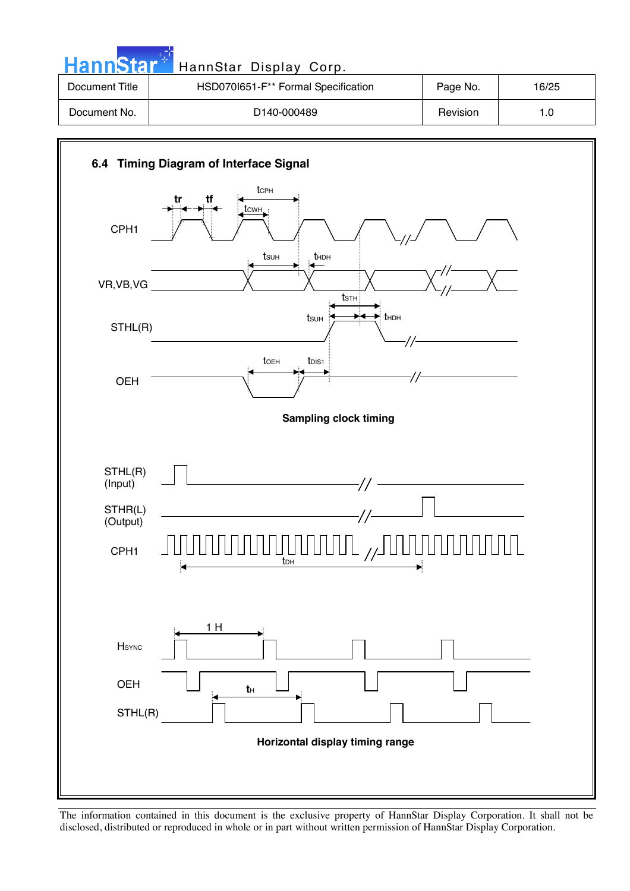| <b>HannStar</b> | HannStar Display Corp.              |          |       |
|-----------------|-------------------------------------|----------|-------|
| Document Title  | HSD070I651-F** Formal Specification | Page No. | 16/25 |
| Document No.    | D <sub>140</sub> -000489            | Revision | 1.0   |

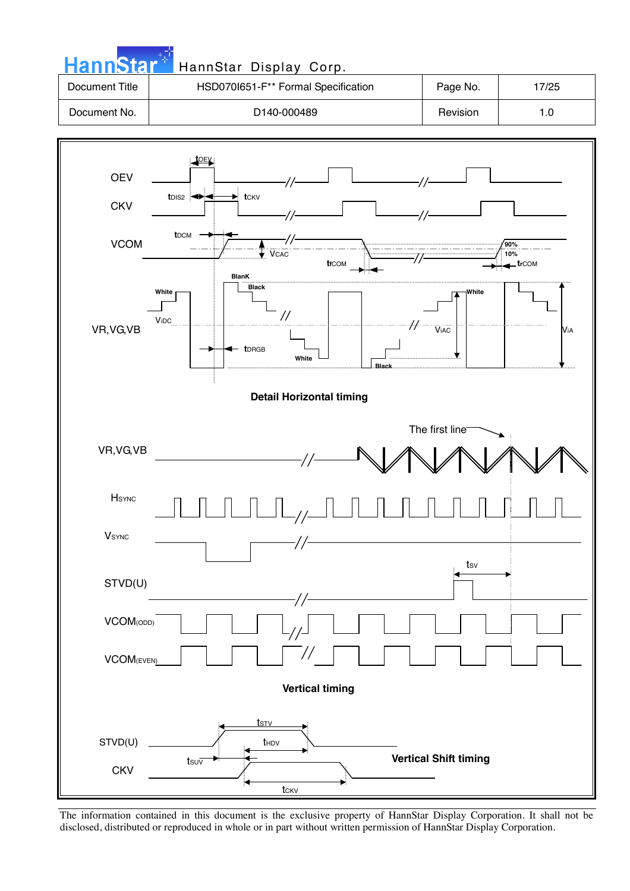| <b>HannStar</b> | HannStar Display Corp.              |          |       |
|-----------------|-------------------------------------|----------|-------|
| Document Title  | HSD070I651-F** Formal Specification | Page No. | 17/25 |
| Document No.    | D <sub>140</sub> -000489            | Revision | 1.0   |

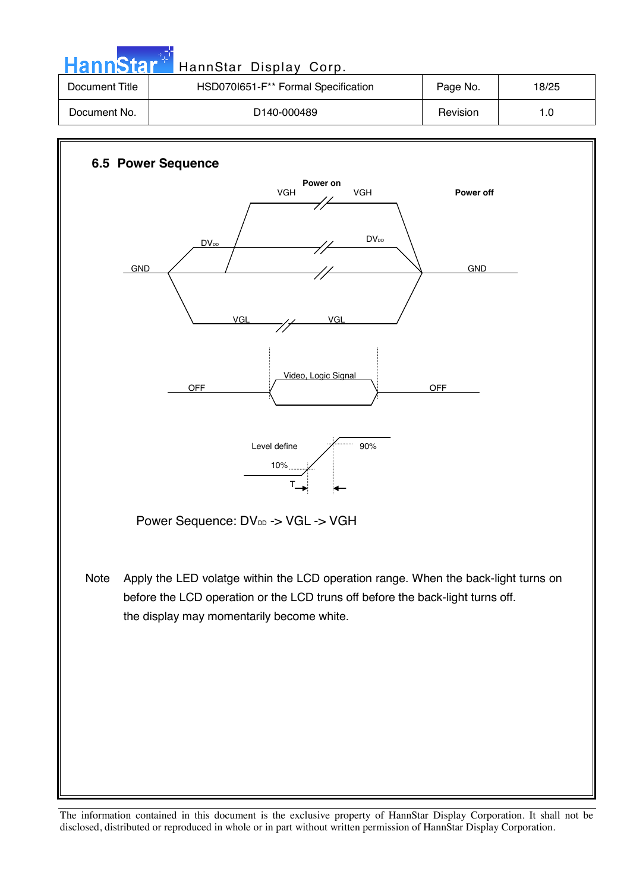| HannStar <sup>*</sup> | HannStar Display Corp.              |          |       |  |  |
|-----------------------|-------------------------------------|----------|-------|--|--|
| Document Title        | HSD070I651-F** Formal Specification | Page No. | 18/25 |  |  |
| Document No.          | D <sub>140</sub> -000489            | Revision | 1.0   |  |  |
|                       |                                     |          |       |  |  |
|                       | <b>G.E. Dower Convence</b>          |          |       |  |  |

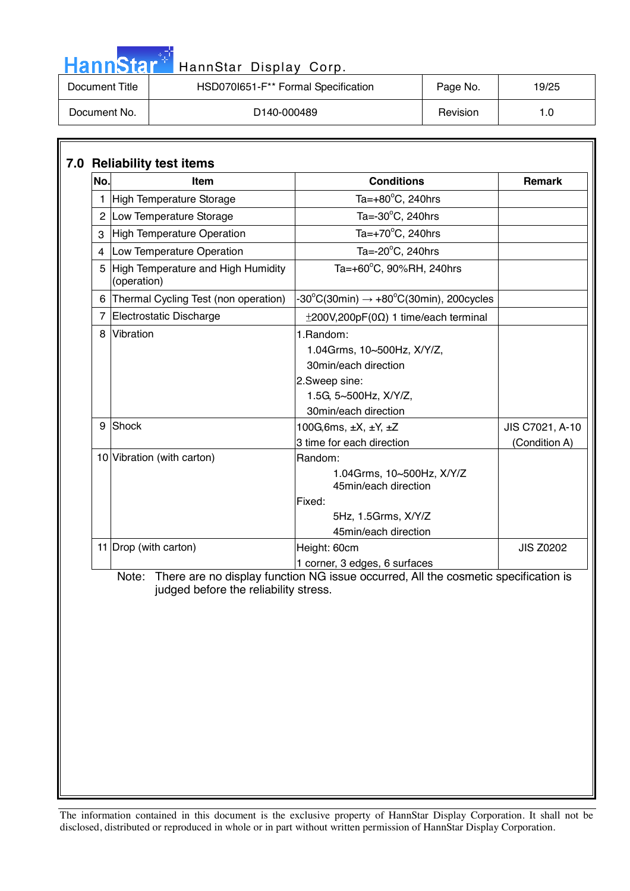| <b>HannStar</b> | HannStar Display Corp.              |          |       |
|-----------------|-------------------------------------|----------|-------|
| Document Title  | HSD070I651-F** Formal Specification | Page No. | 19/25 |
| Document No.    | D140-000489                         | Revision | 1.0   |

والمراد

| No. | <b>Item</b>                                         | <b>Conditions</b>                                                                                                                 | <b>Remark</b>    |
|-----|-----------------------------------------------------|-----------------------------------------------------------------------------------------------------------------------------------|------------------|
|     | 1 High Temperature Storage                          | Ta= $+80^{\circ}$ C, 240hrs                                                                                                       |                  |
|     | 2 Low Temperature Storage                           | Ta= $-30^{\circ}$ C, 240hrs                                                                                                       |                  |
|     | 3 High Temperature Operation                        | Ta=+70°C, 240hrs                                                                                                                  |                  |
| 4   | Low Temperature Operation                           | Ta=-20°C, 240hrs                                                                                                                  |                  |
|     | 5 High Temperature and High Humidity<br>(operation) | Ta=+60°C, 90%RH, 240hrs                                                                                                           |                  |
|     | 6 Thermal Cycling Test (non operation)              | $-30^{\circ}$ C(30min) $\rightarrow +80^{\circ}$ C(30min), 200cycles                                                              |                  |
|     | 7 Electrostatic Discharge                           | $\pm$ 200V,200pF(0 $\Omega$ ) 1 time/each terminal                                                                                |                  |
|     | 8 Vibration                                         | 1.Random:<br>1.04Grms, 10~500Hz, X/Y/Z,<br>30min/each direction<br>2.Sweep sine:<br>1.5G, 5~500Hz, X/Y/Z,<br>30min/each direction |                  |
|     | 9 Shock                                             | 100G, 6ms, $\pm X$ , $\pm Y$ , $\pm Z$                                                                                            | JIS C7021, A-10  |
|     |                                                     | 3 time for each direction                                                                                                         | (Condition A)    |
|     |                                                     | 1.04Grms, 10~500Hz, X/Y/Z<br>45min/each direction<br>Fixed:<br>5Hz, 1.5Grms, X/Y/Z<br>45min/each direction                        |                  |
|     | 11 Drop (with carton)                               | Height: 60cm<br>1 corner, 3 edges, 6 surfaces                                                                                     | <b>JIS Z0202</b> |
|     | judged before the reliability stress.               | Note: There are no display function NG issue occurred, All the cosmetic specification is                                          |                  |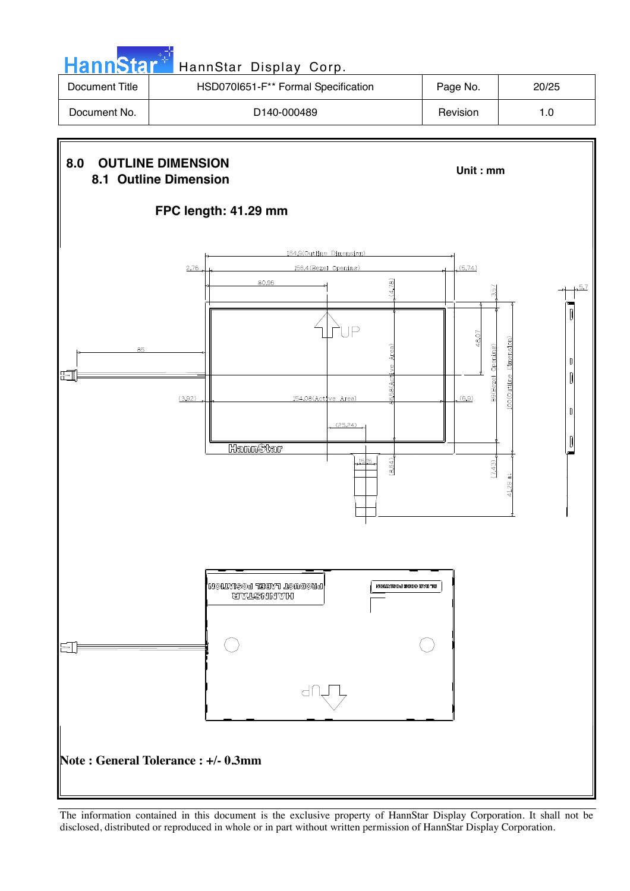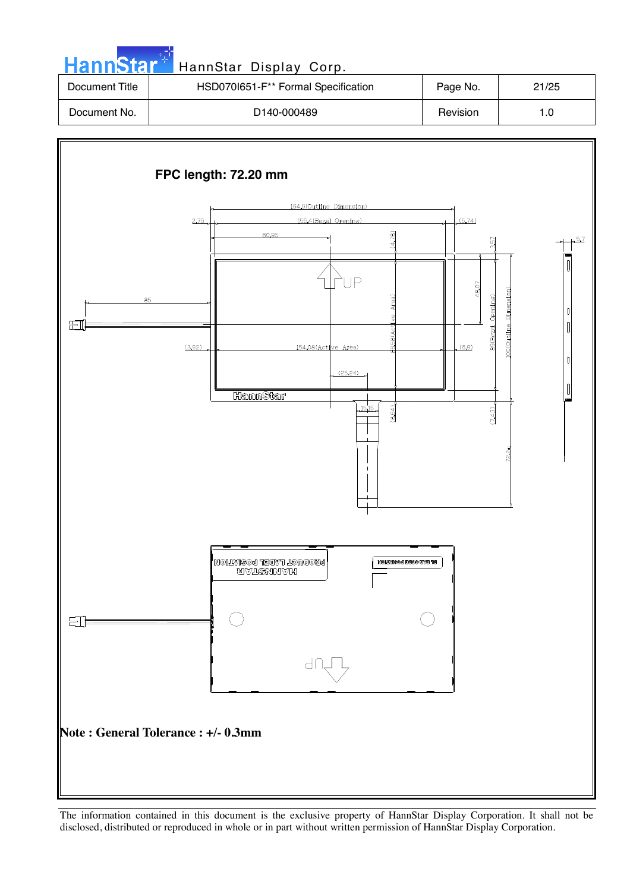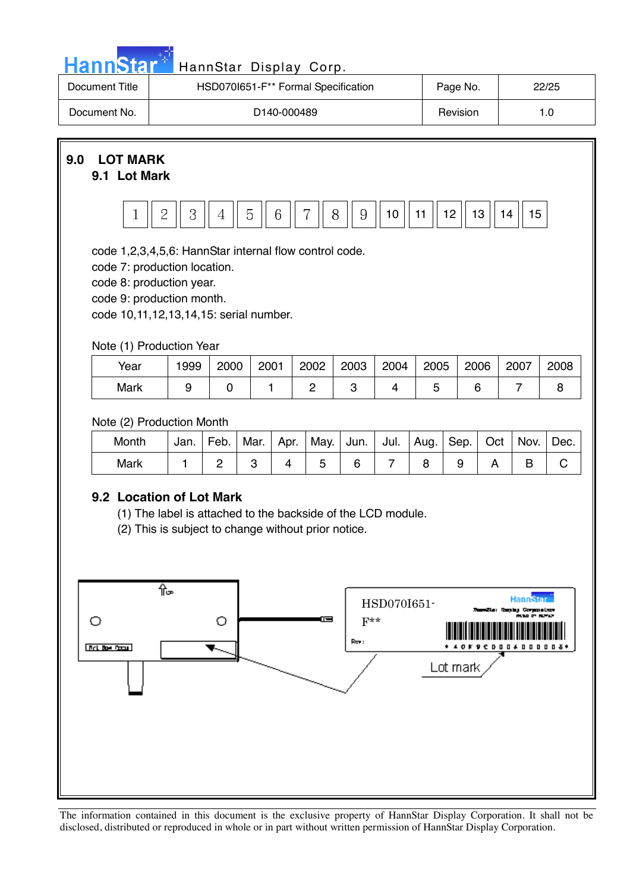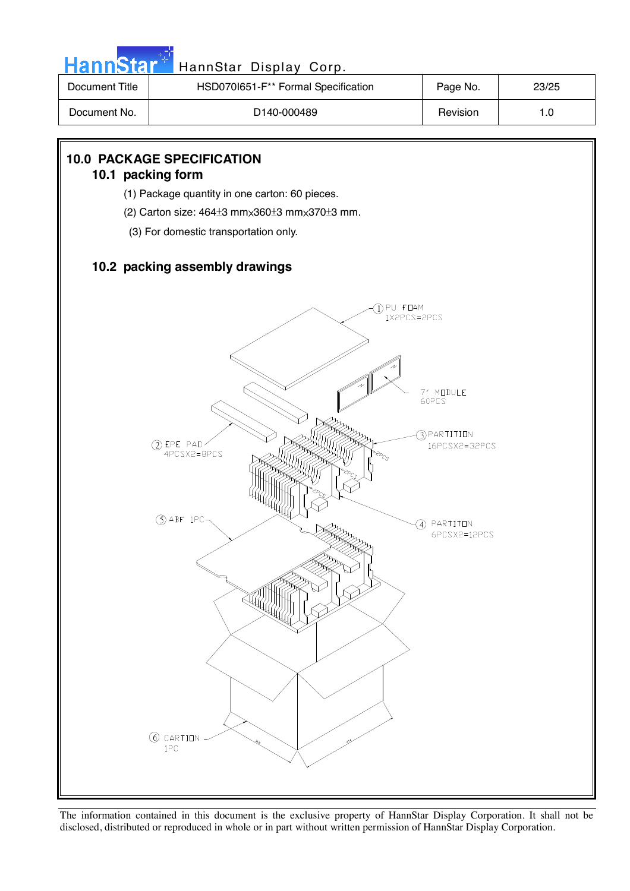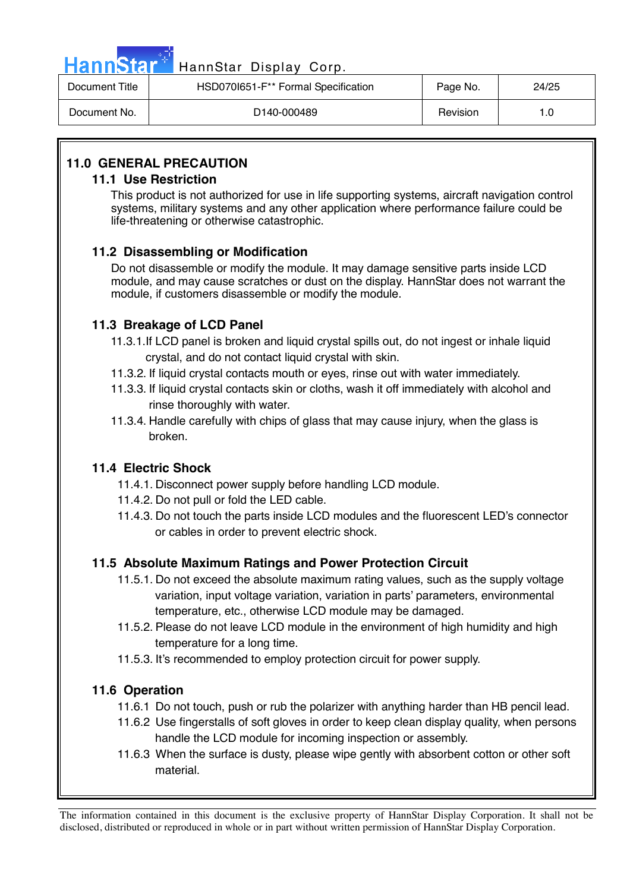|                | HannStar <sup>+</sup> HannStar Display Corp.    |          |       |
|----------------|-------------------------------------------------|----------|-------|
| Document Title | HSD070I651-F <sup>**</sup> Formal Specification | Page No. | 24/25 |

| Document Title | HSD0701651-F <sup>ormal</sup> Specification | Page No. | 24/25 |
|----------------|---------------------------------------------|----------|-------|
| Document No.   | D140-000489                                 | Revision |       |

### **11.0 GENERAL PRECAUTION**

#### **11.1 Use Restriction**

This product is not authorized for use in life supporting systems, aircraft navigation control systems, military systems and any other application where performance failure could be life-threatening or otherwise catastrophic.

#### **11.2 Disassembling or Modification**

 Do not disassemble or modify the module. It may damage sensitive parts inside LCD module, and may cause scratches or dust on the display. HannStar does not warrant the module, if customers disassemble or modify the module.

#### **11.3 Breakage of LCD Panel**

- 11.3.1.If LCD panel is broken and liquid crystal spills out, do not ingest or inhale liquid crystal, and do not contact liquid crystal with skin.
- 11.3.2. If liquid crystal contacts mouth or eyes, rinse out with water immediately.
- 11.3.3. If liquid crystal contacts skin or cloths, wash it off immediately with alcohol and rinse thoroughly with water.
- 11.3.4. Handle carefully with chips of glass that may cause injury, when the glass is broken.

#### **11.4 Electric Shock**

- 11.4.1. Disconnect power supply before handling LCD module.
- 11.4.2. Do not pull or fold the LED cable.
- 11.4.3. Do not touch the parts inside LCD modules and the fluorescent LED's connector or cables in order to prevent electric shock.

#### **11.5 Absolute Maximum Ratings and Power Protection Circuit**

- 11.5.1. Do not exceed the absolute maximum rating values, such as the supply voltage variation, input voltage variation, variation in parts' parameters, environmental temperature, etc., otherwise LCD module may be damaged.
- 11.5.2. Please do not leave LCD module in the environment of high humidity and high temperature for a long time.
- 11.5.3. It's recommended to employ protection circuit for power supply.

#### **11.6 Operation**

- 11.6.1 Do not touch, push or rub the polarizer with anything harder than HB pencil lead.
- 11.6.2 Use fingerstalls of soft gloves in order to keep clean display quality, when persons handle the LCD module for incoming inspection or assembly.
- 11.6.3 When the surface is dusty, please wipe gently with absorbent cotton or other soft material.